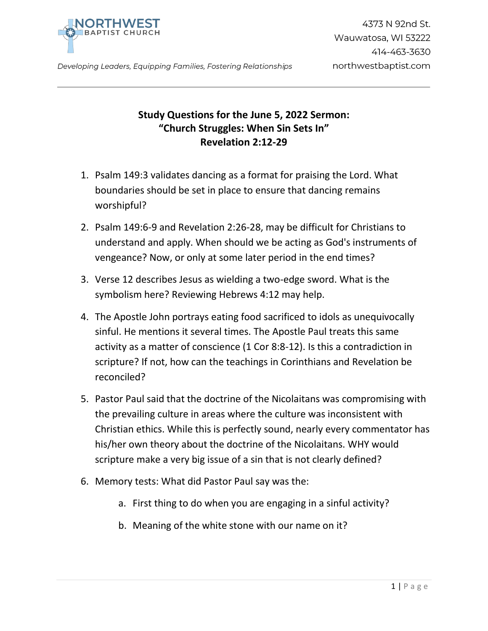

Developing Leaders, Equipping Families, Fostering Relationships

## **Study Questions for the June 5, 2022 Sermon: "Church Struggles: When Sin Sets In" Revelation 2:12-29**

- 1. Psalm 149:3 validates dancing as a format for praising the Lord. What boundaries should be set in place to ensure that dancing remains worshipful?
- 2. Psalm 149:6-9 and Revelation 2:26-28, may be difficult for Christians to understand and apply. When should we be acting as God's instruments of vengeance? Now, or only at some later period in the end times?
- 3. Verse 12 describes Jesus as wielding a two-edge sword. What is the symbolism here? Reviewing Hebrews 4:12 may help.
- 4. The Apostle John portrays eating food sacrificed to idols as unequivocally sinful. He mentions it several times. The Apostle Paul treats this same activity as a matter of conscience (1 Cor 8:8-12). Is this a contradiction in scripture? If not, how can the teachings in Corinthians and Revelation be reconciled?
- 5. Pastor Paul said that the doctrine of the Nicolaitans was compromising with the prevailing culture in areas where the culture was inconsistent with Christian ethics. While this is perfectly sound, nearly every commentator has his/her own theory about the doctrine of the Nicolaitans. WHY would scripture make a very big issue of a sin that is not clearly defined?
- 6. Memory tests: What did Pastor Paul say was the:
	- a. First thing to do when you are engaging in a sinful activity?
	- b. Meaning of the white stone with our name on it?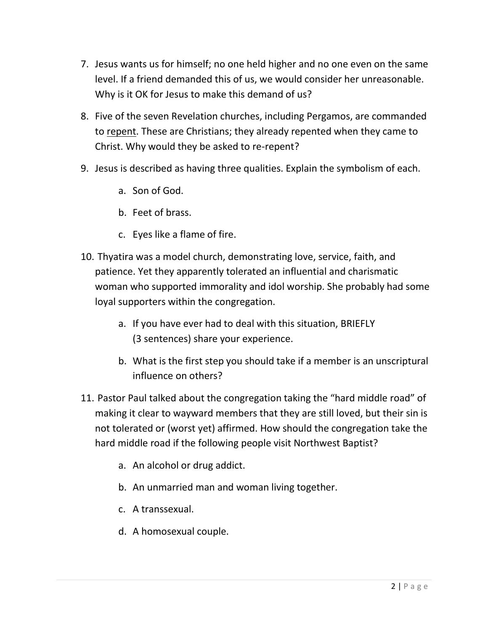- 7. Jesus wants us for himself; no one held higher and no one even on the same level. If a friend demanded this of us, we would consider her unreasonable. Why is it OK for Jesus to make this demand of us?
- 8. Five of the seven Revelation churches, including Pergamos, are commanded to repent. These are Christians; they already repented when they came to Christ. Why would they be asked to re-repent?
- 9. Jesus is described as having three qualities. Explain the symbolism of each.
	- a. Son of God.
	- b. Feet of brass.
	- c. Eyes like a flame of fire.
- 10. Thyatira was a model church, demonstrating love, service, faith, and patience. Yet they apparently tolerated an influential and charismatic woman who supported immorality and idol worship. She probably had some loyal supporters within the congregation.
	- a. If you have ever had to deal with this situation, BRIEFLY (3 sentences) share your experience.
	- b. What is the first step you should take if a member is an unscriptural influence on others?
- 11. Pastor Paul talked about the congregation taking the "hard middle road" of making it clear to wayward members that they are still loved, but their sin is not tolerated or (worst yet) affirmed. How should the congregation take the hard middle road if the following people visit Northwest Baptist?
	- a. An alcohol or drug addict.
	- b. An unmarried man and woman living together.
	- c. A transsexual.
	- d. A homosexual couple.